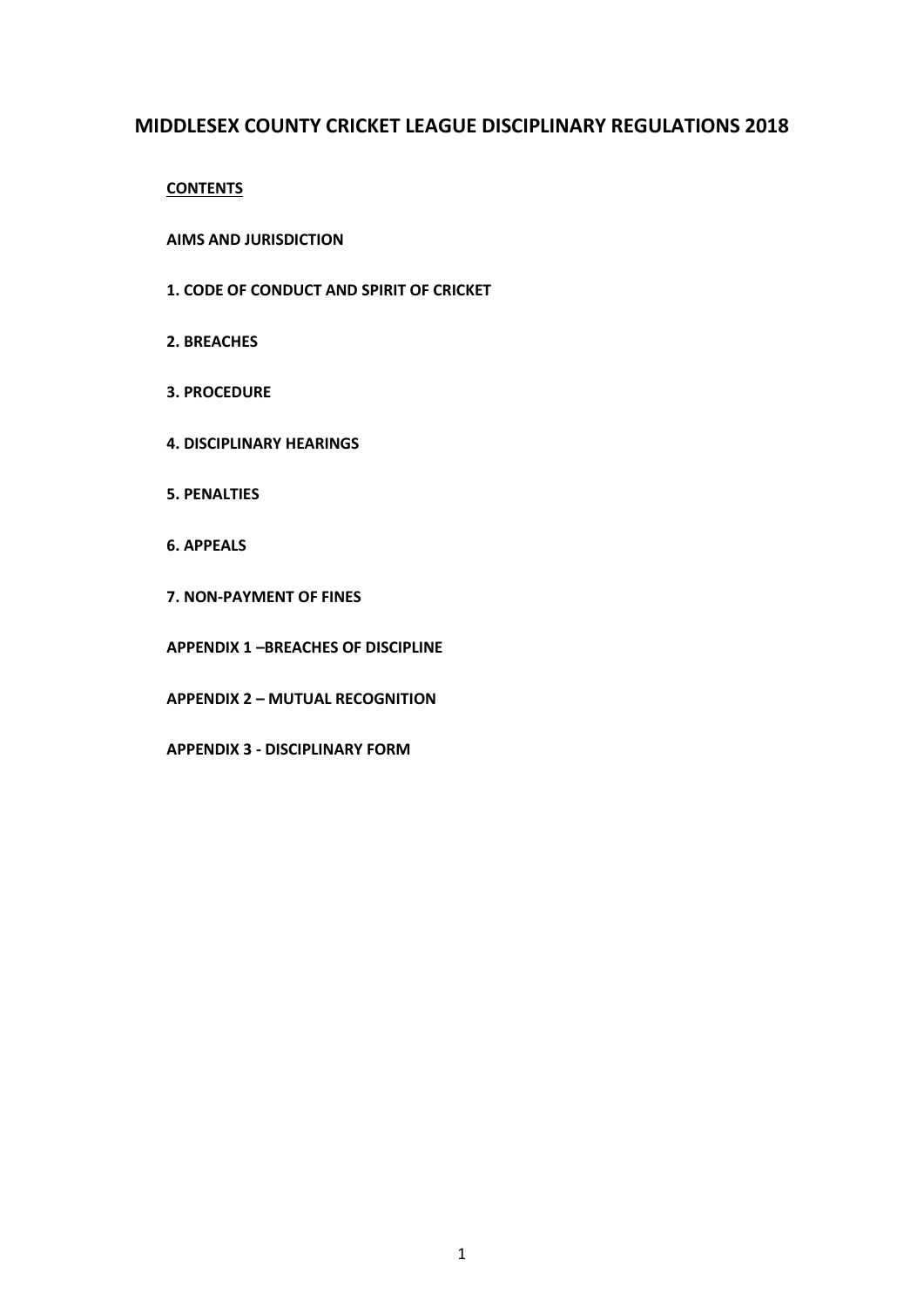# **MIDDLESEX COUNTY CRICKET LEAGUE DISCIPLINARY REGULATIONS 2018**

# **CONTENTS**

**AIMS AND JURISDICTION**

- **1. CODE OF CONDUCT AND SPIRIT OF CRICKET**
- **2. BREACHES**
- **3. PROCEDURE**
- **4. DISCIPLINARY HEARINGS**
- **5. PENALTIES**
- **6. APPEALS**
- **7. NON-PAYMENT OF FINES**
- **APPENDIX 1 –BREACHES OF DISCIPLINE**
- **APPENDIX 2 – MUTUAL RECOGNITION**
- **APPENDIX 3 - DISCIPLINARY FORM**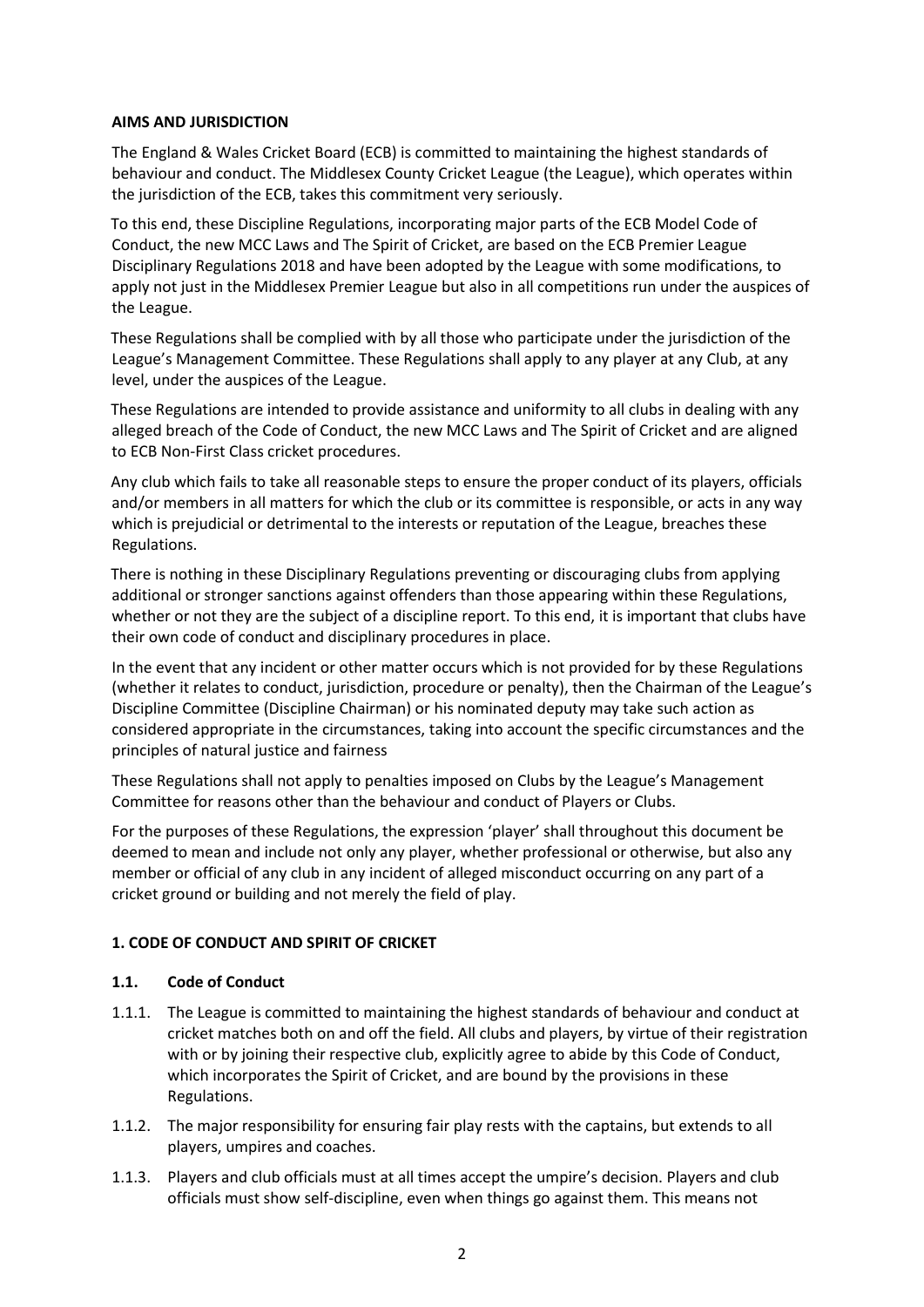### **AIMS AND JURISDICTION**

The England & Wales Cricket Board (ECB) is committed to maintaining the highest standards of behaviour and conduct. The Middlesex County Cricket League (the League), which operates within the jurisdiction of the ECB, takes this commitment very seriously.

To this end, these Discipline Regulations, incorporating major parts of the ECB Model Code of Conduct, the new MCC Laws and The Spirit of Cricket, are based on the ECB Premier League Disciplinary Regulations 2018 and have been adopted by the League with some modifications, to apply not just in the Middlesex Premier League but also in all competitions run under the auspices of the League.

These Regulations shall be complied with by all those who participate under the jurisdiction of the League's Management Committee. These Regulations shall apply to any player at any Club, at any level, under the auspices of the League.

These Regulations are intended to provide assistance and uniformity to all clubs in dealing with any alleged breach of the Code of Conduct, the new MCC Laws and The Spirit of Cricket and are aligned to ECB Non-First Class cricket procedures.

Any club which fails to take all reasonable steps to ensure the proper conduct of its players, officials and/or members in all matters for which the club or its committee is responsible, or acts in any way which is prejudicial or detrimental to the interests or reputation of the League, breaches these Regulations.

There is nothing in these Disciplinary Regulations preventing or discouraging clubs from applying additional or stronger sanctions against offenders than those appearing within these Regulations, whether or not they are the subject of a discipline report. To this end, it is important that clubs have their own code of conduct and disciplinary procedures in place.

In the event that any incident or other matter occurs which is not provided for by these Regulations (whether it relates to conduct, jurisdiction, procedure or penalty), then the Chairman of the League's Discipline Committee (Discipline Chairman) or his nominated deputy may take such action as considered appropriate in the circumstances, taking into account the specific circumstances and the principles of natural justice and fairness

These Regulations shall not apply to penalties imposed on Clubs by the League's Management Committee for reasons other than the behaviour and conduct of Players or Clubs.

For the purposes of these Regulations, the expression 'player' shall throughout this document be deemed to mean and include not only any player, whether professional or otherwise, but also any member or official of any club in any incident of alleged misconduct occurring on any part of a cricket ground or building and not merely the field of play.

# **1. CODE OF CONDUCT AND SPIRIT OF CRICKET**

# **1.1. Code of Conduct**

- 1.1.1. The League is committed to maintaining the highest standards of behaviour and conduct at cricket matches both on and off the field. All clubs and players, by virtue of their registration with or by joining their respective club, explicitly agree to abide by this Code of Conduct, which incorporates the Spirit of Cricket, and are bound by the provisions in these Regulations.
- 1.1.2. The major responsibility for ensuring fair play rests with the captains, but extends to all players, umpires and coaches.
- 1.1.3. Players and club officials must at all times accept the umpire's decision. Players and club officials must show self-discipline, even when things go against them. This means not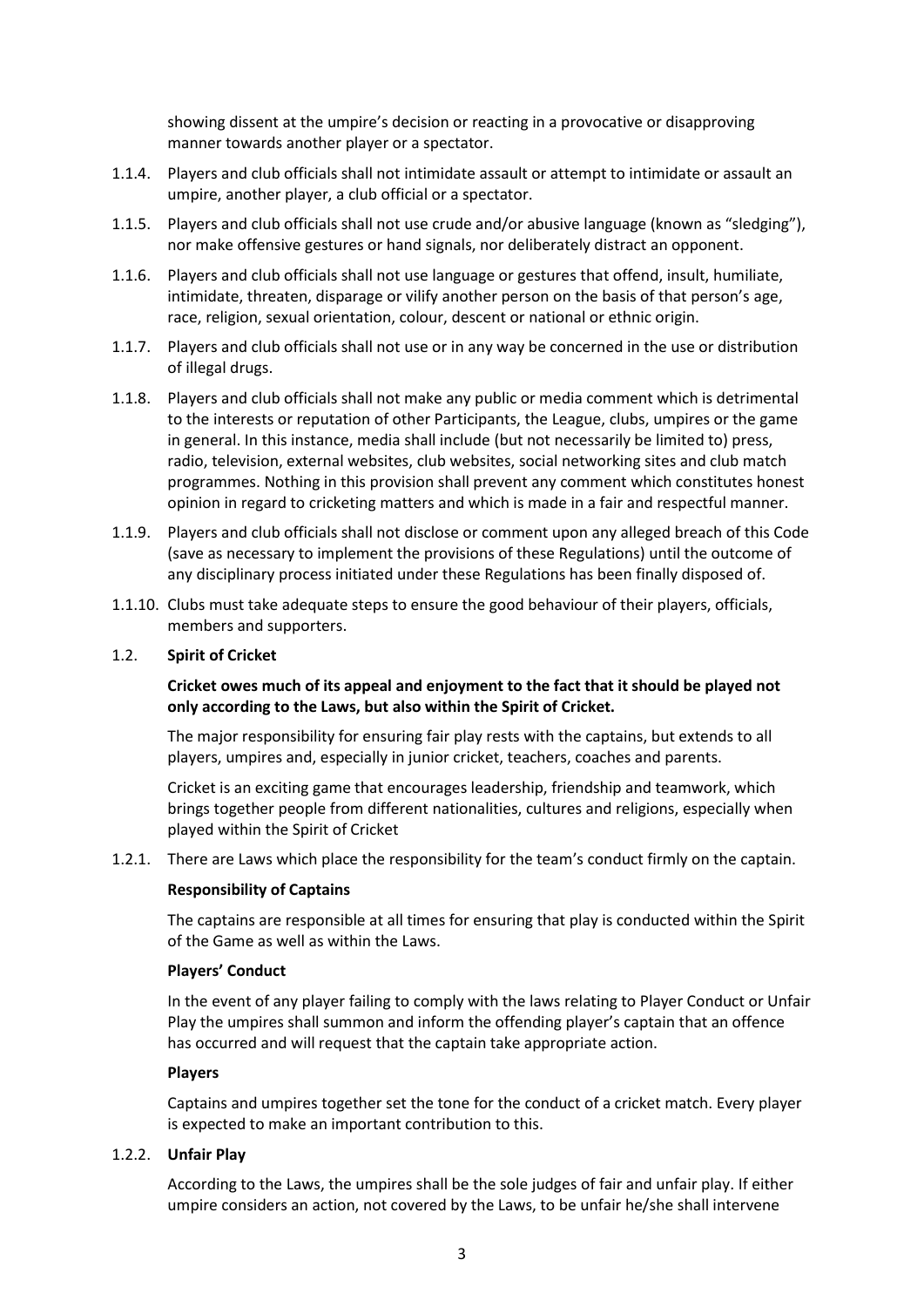showing dissent at the umpire's decision or reacting in a provocative or disapproving manner towards another player or a spectator.

- 1.1.4. Players and club officials shall not intimidate assault or attempt to intimidate or assault an umpire, another player, a club official or a spectator.
- 1.1.5. Players and club officials shall not use crude and/or abusive language (known as "sledging"), nor make offensive gestures or hand signals, nor deliberately distract an opponent.
- 1.1.6. Players and club officials shall not use language or gestures that offend, insult, humiliate, intimidate, threaten, disparage or vilify another person on the basis of that person's age, race, religion, sexual orientation, colour, descent or national or ethnic origin.
- 1.1.7. Players and club officials shall not use or in any way be concerned in the use or distribution of illegal drugs.
- 1.1.8. Players and club officials shall not make any public or media comment which is detrimental to the interests or reputation of other Participants, the League, clubs, umpires or the game in general. In this instance, media shall include (but not necessarily be limited to) press, radio, television, external websites, club websites, social networking sites and club match programmes. Nothing in this provision shall prevent any comment which constitutes honest opinion in regard to cricketing matters and which is made in a fair and respectful manner.
- 1.1.9. Players and club officials shall not disclose or comment upon any alleged breach of this Code (save as necessary to implement the provisions of these Regulations) until the outcome of any disciplinary process initiated under these Regulations has been finally disposed of.
- 1.1.10. Clubs must take adequate steps to ensure the good behaviour of their players, officials, members and supporters.

# 1.2. **Spirit of Cricket**

### **Cricket owes much of its appeal and enjoyment to the fact that it should be played not only according to the Laws, but also within the Spirit of Cricket.**

The major responsibility for ensuring fair play rests with the captains, but extends to all players, umpires and, especially in junior cricket, teachers, coaches and parents.

Cricket is an exciting game that encourages leadership, friendship and teamwork, which brings together people from different nationalities, cultures and religions, especially when played within the Spirit of Cricket

1.2.1. There are Laws which place the responsibility for the team's conduct firmly on the captain.

#### **Responsibility of Captains**

The captains are responsible at all times for ensuring that play is conducted within the Spirit of the Game as well as within the Laws.

#### **Players' Conduct**

In the event of any player failing to comply with the laws relating to Player Conduct or Unfair Play the umpires shall summon and inform the offending player's captain that an offence has occurred and will request that the captain take appropriate action.

#### **Players**

Captains and umpires together set the tone for the conduct of a cricket match. Every player is expected to make an important contribution to this.

#### 1.2.2. **Unfair Play**

According to the Laws, the umpires shall be the sole judges of fair and unfair play. If either umpire considers an action, not covered by the Laws, to be unfair he/she shall intervene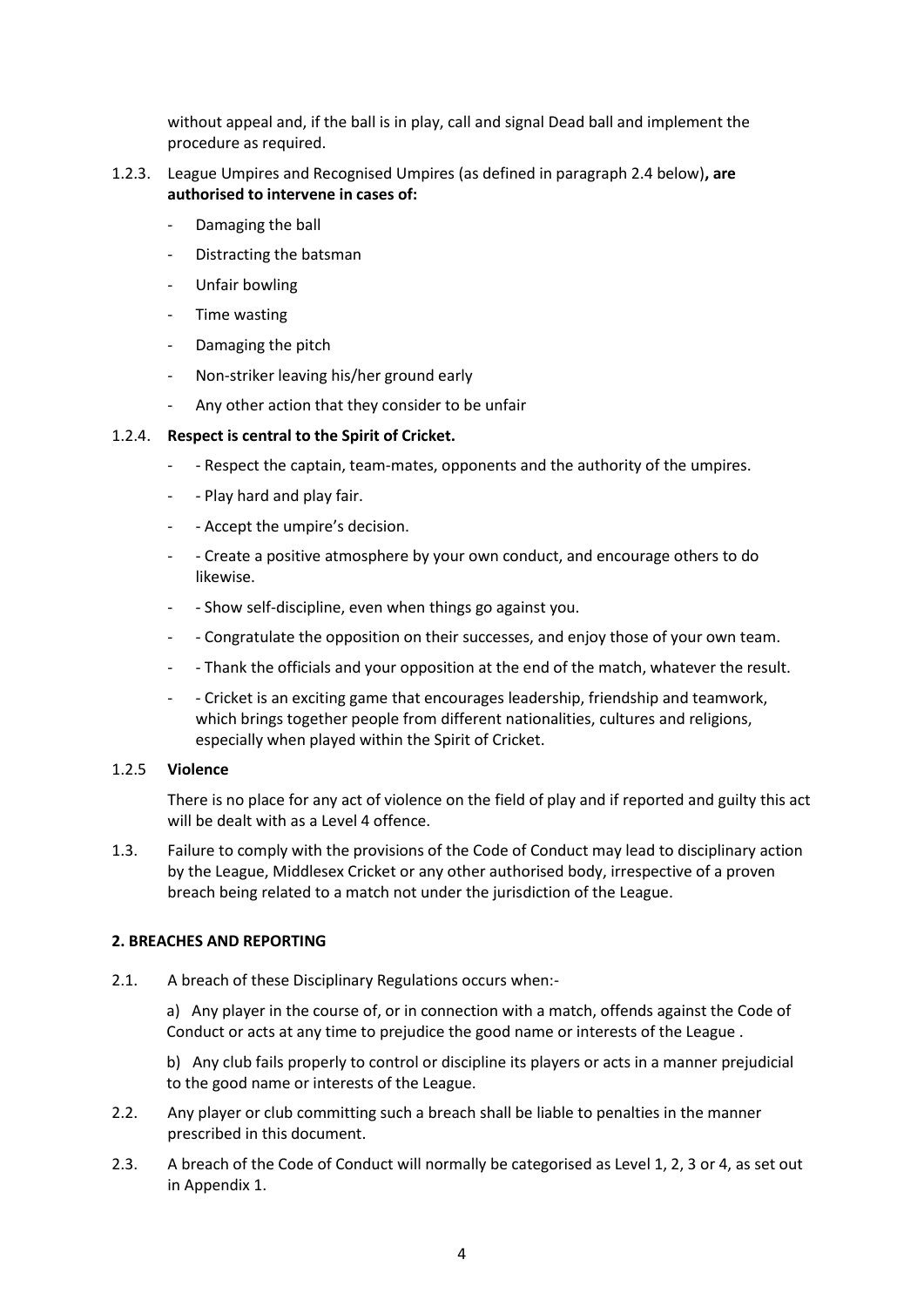without appeal and, if the ball is in play, call and signal Dead ball and implement the procedure as required.

- 1.2.3. League Umpires and Recognised Umpires (as defined in paragraph 2.4 below)**, are authorised to intervene in cases of:**
	- Damaging the ball
	- Distracting the batsman
	- Unfair bowling
	- Time wasting
	- Damaging the pitch
	- Non-striker leaving his/her ground early
	- Any other action that they consider to be unfair

# 1.2.4. **Respect is central to the Spirit of Cricket.**

- Respect the captain, team-mates, opponents and the authority of the umpires.
- - Play hard and play fair.
- - Accept the umpire's decision.
- - Create a positive atmosphere by your own conduct, and encourage others to do likewise.
- Show self-discipline, even when things go against you.
- - Congratulate the opposition on their successes, and enjoy those of your own team.
- - Thank the officials and your opposition at the end of the match, whatever the result.
- - Cricket is an exciting game that encourages leadership, friendship and teamwork, which brings together people from different nationalities, cultures and religions, especially when played within the Spirit of Cricket.

### 1.2.5 **Violence**

There is no place for any act of violence on the field of play and if reported and guilty this act will be dealt with as a Level 4 offence.

1.3. Failure to comply with the provisions of the Code of Conduct may lead to disciplinary action by the League, Middlesex Cricket or any other authorised body, irrespective of a proven breach being related to a match not under the jurisdiction of the League.

### **2. BREACHES AND REPORTING**

2.1. A breach of these Disciplinary Regulations occurs when:-

a) Any player in the course of, or in connection with a match, offends against the Code of Conduct or acts at any time to prejudice the good name or interests of the League .

b) Any club fails properly to control or discipline its players or acts in a manner prejudicial to the good name or interests of the League.

- 2.2. Any player or club committing such a breach shall be liable to penalties in the manner prescribed in this document.
- 2.3. A breach of the Code of Conduct will normally be categorised as Level 1, 2, 3 or 4, as set out in Appendix 1.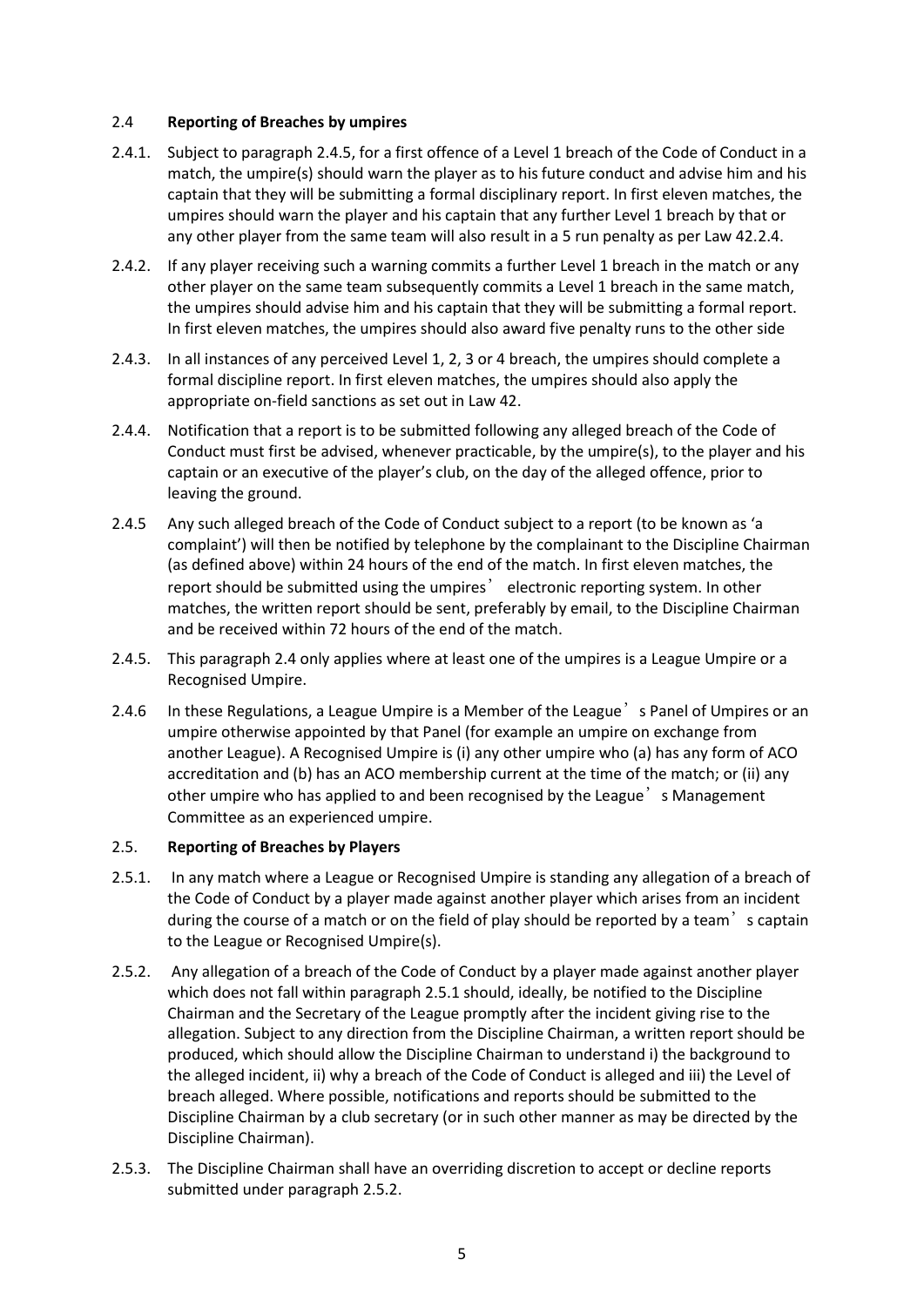### 2.4 **Reporting of Breaches by umpires**

- 2.4.1. Subject to paragraph 2.4.5, for a first offence of a Level 1 breach of the Code of Conduct in a match, the umpire(s) should warn the player as to his future conduct and advise him and his captain that they will be submitting a formal disciplinary report. In first eleven matches, the umpires should warn the player and his captain that any further Level 1 breach by that or any other player from the same team will also result in a 5 run penalty as per Law 42.2.4.
- 2.4.2. If any player receiving such a warning commits a further Level 1 breach in the match or any other player on the same team subsequently commits a Level 1 breach in the same match, the umpires should advise him and his captain that they will be submitting a formal report. In first eleven matches, the umpires should also award five penalty runs to the other side
- 2.4.3. In all instances of any perceived Level 1, 2, 3 or 4 breach, the umpires should complete a formal discipline report. In first eleven matches, the umpires should also apply the appropriate on-field sanctions as set out in Law 42.
- 2.4.4. Notification that a report is to be submitted following any alleged breach of the Code of Conduct must first be advised, whenever practicable, by the umpire(s), to the player and his captain or an executive of the player's club, on the day of the alleged offence, prior to leaving the ground.
- 2.4.5 Any such alleged breach of the Code of Conduct subject to a report (to be known as 'a complaint') will then be notified by telephone by the complainant to the Discipline Chairman (as defined above) within 24 hours of the end of the match. In first eleven matches, the report should be submitted using the umpires' electronic reporting system. In other matches, the written report should be sent, preferably by email, to the Discipline Chairman and be received within 72 hours of the end of the match.
- 2.4.5. This paragraph 2.4 only applies where at least one of the umpires is a League Umpire or a Recognised Umpire.
- 2.4.6 In these Regulations, a League Umpire is a Member of the League's Panel of Umpires or an umpire otherwise appointed by that Panel (for example an umpire on exchange from another League). A Recognised Umpire is (i) any other umpire who (a) has any form of ACO accreditation and (b) has an ACO membership current at the time of the match; or (ii) any other umpire who has applied to and been recognised by the League's Management Committee as an experienced umpire.

# 2.5. **Reporting of Breaches by Players**

- 2.5.1. In any match where a League or Recognised Umpire is standing any allegation of a breach of the Code of Conduct by a player made against another player which arises from an incident during the course of a match or on the field of play should be reported by a team's captain to the League or Recognised Umpire(s).
- 2.5.2. Any allegation of a breach of the Code of Conduct by a player made against another player which does not fall within paragraph 2.5.1 should, ideally, be notified to the Discipline Chairman and the Secretary of the League promptly after the incident giving rise to the allegation. Subject to any direction from the Discipline Chairman, a written report should be produced, which should allow the Discipline Chairman to understand i) the background to the alleged incident, ii) why a breach of the Code of Conduct is alleged and iii) the Level of breach alleged. Where possible, notifications and reports should be submitted to the Discipline Chairman by a club secretary (or in such other manner as may be directed by the Discipline Chairman).
- 2.5.3. The Discipline Chairman shall have an overriding discretion to accept or decline reports submitted under paragraph 2.5.2.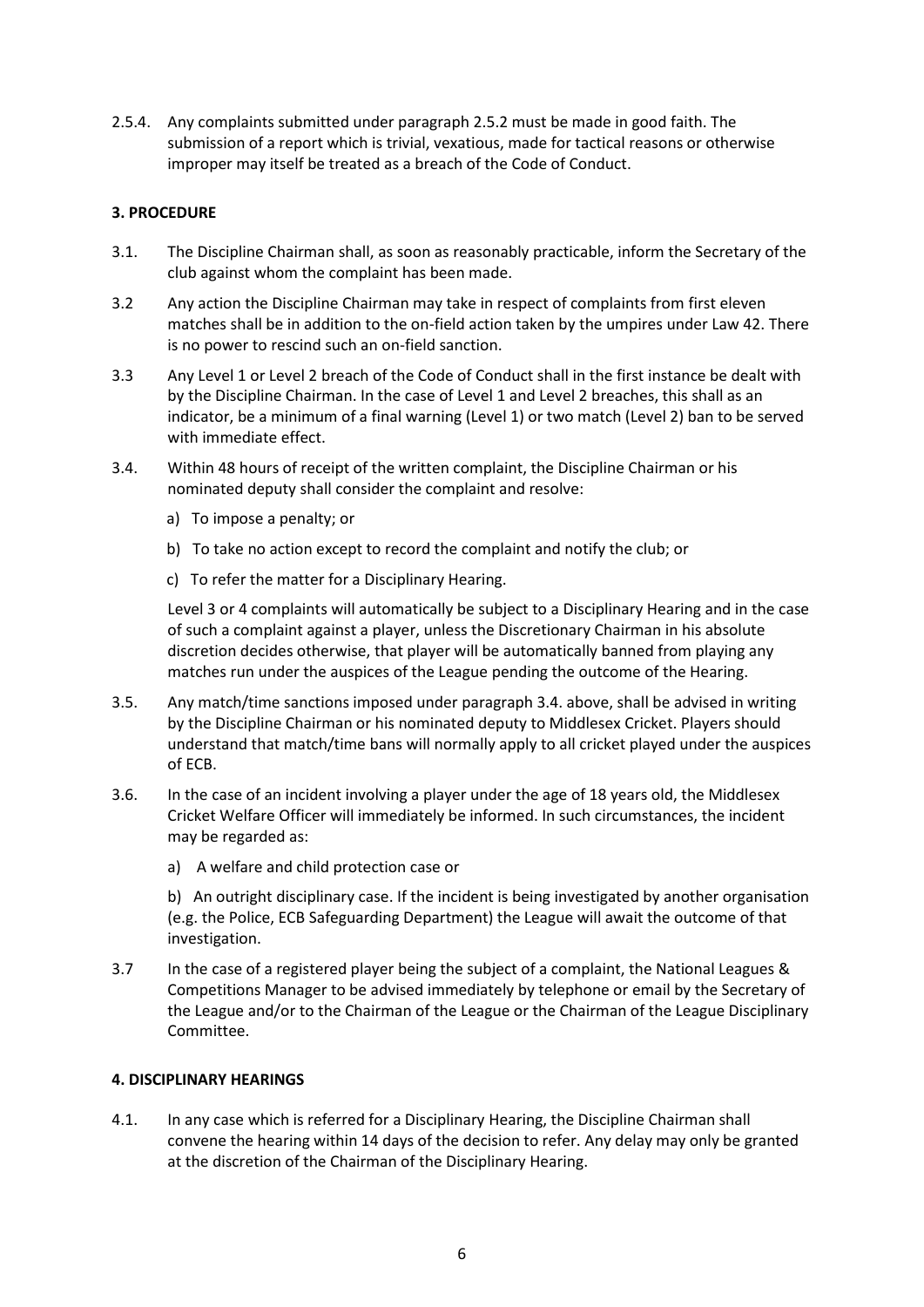2.5.4. Any complaints submitted under paragraph 2.5.2 must be made in good faith. The submission of a report which is trivial, vexatious, made for tactical reasons or otherwise improper may itself be treated as a breach of the Code of Conduct.

# **3. PROCEDURE**

- 3.1. The Discipline Chairman shall, as soon as reasonably practicable, inform the Secretary of the club against whom the complaint has been made.
- 3.2 Any action the Discipline Chairman may take in respect of complaints from first eleven matches shall be in addition to the on-field action taken by the umpires under Law 42. There is no power to rescind such an on-field sanction.
- 3.3 Any Level 1 or Level 2 breach of the Code of Conduct shall in the first instance be dealt with by the Discipline Chairman. In the case of Level 1 and Level 2 breaches, this shall as an indicator, be a minimum of a final warning (Level 1) or two match (Level 2) ban to be served with immediate effect.
- 3.4. Within 48 hours of receipt of the written complaint, the Discipline Chairman or his nominated deputy shall consider the complaint and resolve:
	- a) To impose a penalty; or
	- b) To take no action except to record the complaint and notify the club; or
	- c) To refer the matter for a Disciplinary Hearing.

Level 3 or 4 complaints will automatically be subject to a Disciplinary Hearing and in the case of such a complaint against a player, unless the Discretionary Chairman in his absolute discretion decides otherwise, that player will be automatically banned from playing any matches run under the auspices of the League pending the outcome of the Hearing.

- 3.5. Any match/time sanctions imposed under paragraph 3.4. above, shall be advised in writing by the Discipline Chairman or his nominated deputy to Middlesex Cricket. Players should understand that match/time bans will normally apply to all cricket played under the auspices of ECB.
- 3.6. In the case of an incident involving a player under the age of 18 years old, the Middlesex Cricket Welfare Officer will immediately be informed. In such circumstances, the incident may be regarded as:
	- a) A welfare and child protection case or

b) An outright disciplinary case. If the incident is being investigated by another organisation (e.g. the Police, ECB Safeguarding Department) the League will await the outcome of that investigation.

3.7 In the case of a registered player being the subject of a complaint, the National Leagues & Competitions Manager to be advised immediately by telephone or email by the Secretary of the League and/or to the Chairman of the League or the Chairman of the League Disciplinary Committee.

### **4. DISCIPLINARY HEARINGS**

4.1. In any case which is referred for a Disciplinary Hearing, the Discipline Chairman shall convene the hearing within 14 days of the decision to refer. Any delay may only be granted at the discretion of the Chairman of the Disciplinary Hearing.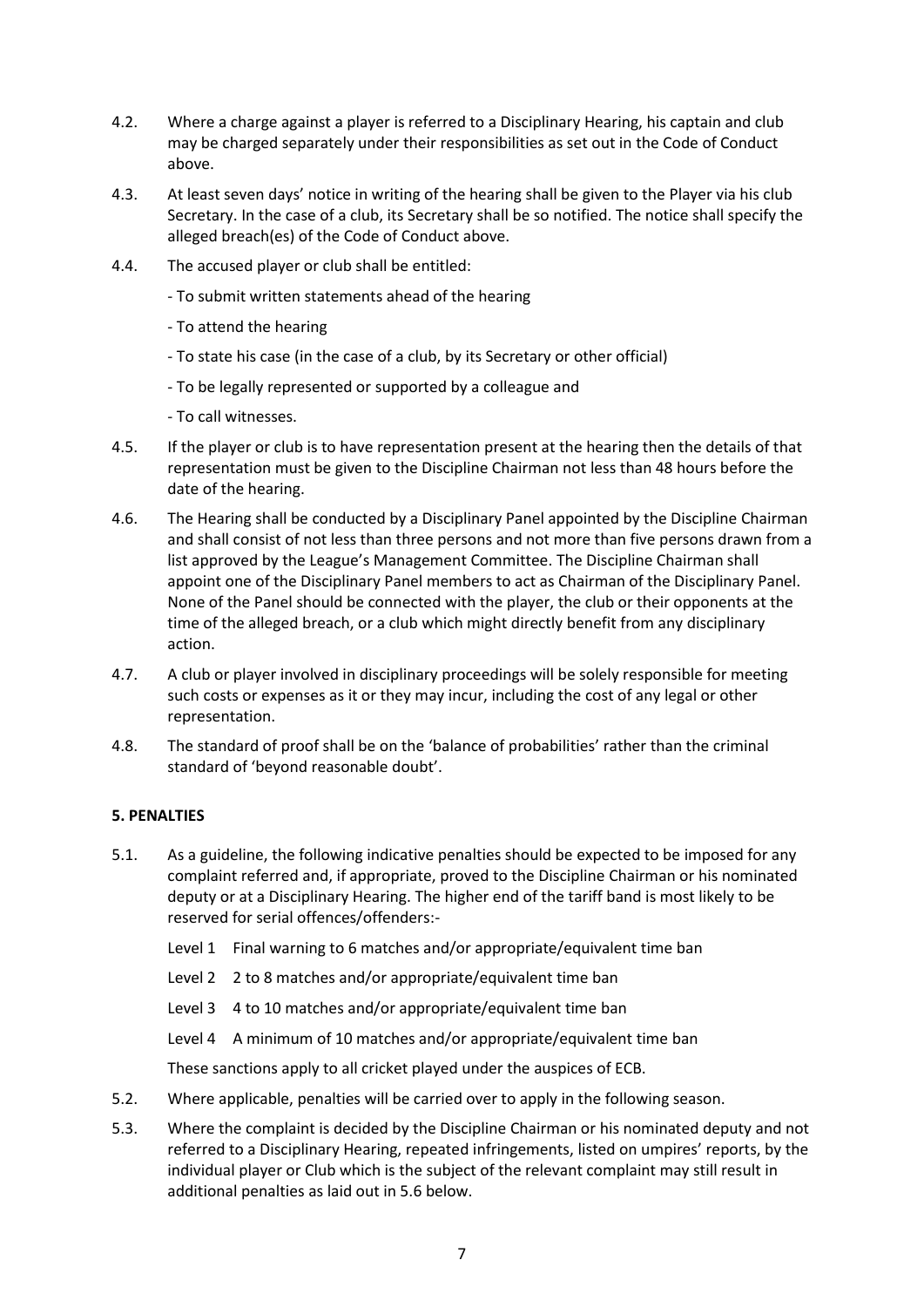- 4.2. Where a charge against a player is referred to a Disciplinary Hearing, his captain and club may be charged separately under their responsibilities as set out in the Code of Conduct above.
- 4.3. At least seven days' notice in writing of the hearing shall be given to the Player via his club Secretary. In the case of a club, its Secretary shall be so notified. The notice shall specify the alleged breach(es) of the Code of Conduct above.
- 4.4. The accused player or club shall be entitled:
	- To submit written statements ahead of the hearing
	- To attend the hearing
	- To state his case (in the case of a club, by its Secretary or other official)
	- To be legally represented or supported by a colleague and
	- To call witnesses.
- 4.5. If the player or club is to have representation present at the hearing then the details of that representation must be given to the Discipline Chairman not less than 48 hours before the date of the hearing.
- 4.6. The Hearing shall be conducted by a Disciplinary Panel appointed by the Discipline Chairman and shall consist of not less than three persons and not more than five persons drawn from a list approved by the League's Management Committee. The Discipline Chairman shall appoint one of the Disciplinary Panel members to act as Chairman of the Disciplinary Panel. None of the Panel should be connected with the player, the club or their opponents at the time of the alleged breach, or a club which might directly benefit from any disciplinary action.
- 4.7. A club or player involved in disciplinary proceedings will be solely responsible for meeting such costs or expenses as it or they may incur, including the cost of any legal or other representation.
- 4.8. The standard of proof shall be on the 'balance of probabilities' rather than the criminal standard of 'beyond reasonable doubt'.

# **5. PENALTIES**

- 5.1. As a guideline, the following indicative penalties should be expected to be imposed for any complaint referred and, if appropriate, proved to the Discipline Chairman or his nominated deputy or at a Disciplinary Hearing. The higher end of the tariff band is most likely to be reserved for serial offences/offenders:-
	- Level 1 Final warning to 6 matches and/or appropriate/equivalent time ban
	- Level 2 2 to 8 matches and/or appropriate/equivalent time ban
	- Level 3 4 to 10 matches and/or appropriate/equivalent time ban
	- Level 4 A minimum of 10 matches and/or appropriate/equivalent time ban

These sanctions apply to all cricket played under the auspices of ECB.

- 5.2. Where applicable, penalties will be carried over to apply in the following season.
- 5.3. Where the complaint is decided by the Discipline Chairman or his nominated deputy and not referred to a Disciplinary Hearing, repeated infringements, listed on umpires' reports, by the individual player or Club which is the subject of the relevant complaint may still result in additional penalties as laid out in 5.6 below.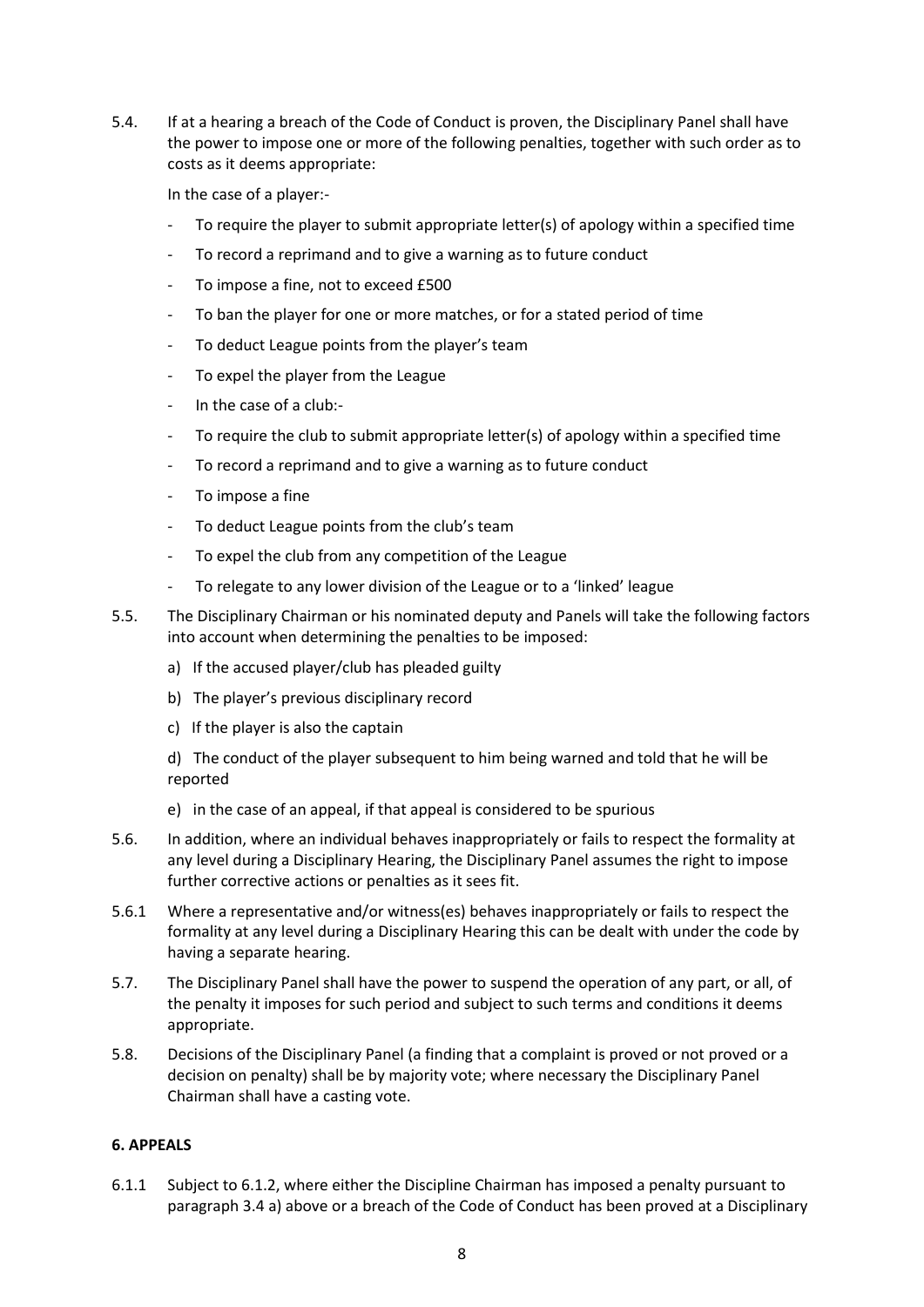5.4. If at a hearing a breach of the Code of Conduct is proven, the Disciplinary Panel shall have the power to impose one or more of the following penalties, together with such order as to costs as it deems appropriate:

In the case of a player:-

- To require the player to submit appropriate letter(s) of apology within a specified time
- To record a reprimand and to give a warning as to future conduct
- To impose a fine, not to exceed £500
- To ban the player for one or more matches, or for a stated period of time
- To deduct League points from the player's team
- To expel the player from the League
- In the case of a club:-
- To require the club to submit appropriate letter(s) of apology within a specified time
- To record a reprimand and to give a warning as to future conduct
- To impose a fine
- To deduct League points from the club's team
- To expel the club from any competition of the League
- To relegate to any lower division of the League or to a 'linked' league
- 5.5. The Disciplinary Chairman or his nominated deputy and Panels will take the following factors into account when determining the penalties to be imposed:
	- a) If the accused player/club has pleaded guilty
	- b) The player's previous disciplinary record
	- c) If the player is also the captain

d) The conduct of the player subsequent to him being warned and told that he will be reported

- e) in the case of an appeal, if that appeal is considered to be spurious
- 5.6. In addition, where an individual behaves inappropriately or fails to respect the formality at any level during a Disciplinary Hearing, the Disciplinary Panel assumes the right to impose further corrective actions or penalties as it sees fit.
- 5.6.1 Where a representative and/or witness(es) behaves inappropriately or fails to respect the formality at any level during a Disciplinary Hearing this can be dealt with under the code by having a separate hearing.
- 5.7. The Disciplinary Panel shall have the power to suspend the operation of any part, or all, of the penalty it imposes for such period and subject to such terms and conditions it deems appropriate.
- 5.8. Decisions of the Disciplinary Panel (a finding that a complaint is proved or not proved or a decision on penalty) shall be by majority vote; where necessary the Disciplinary Panel Chairman shall have a casting vote.

### **6. APPEALS**

6.1.1 Subject to 6.1.2, where either the Discipline Chairman has imposed a penalty pursuant to paragraph 3.4 a) above or a breach of the Code of Conduct has been proved at a Disciplinary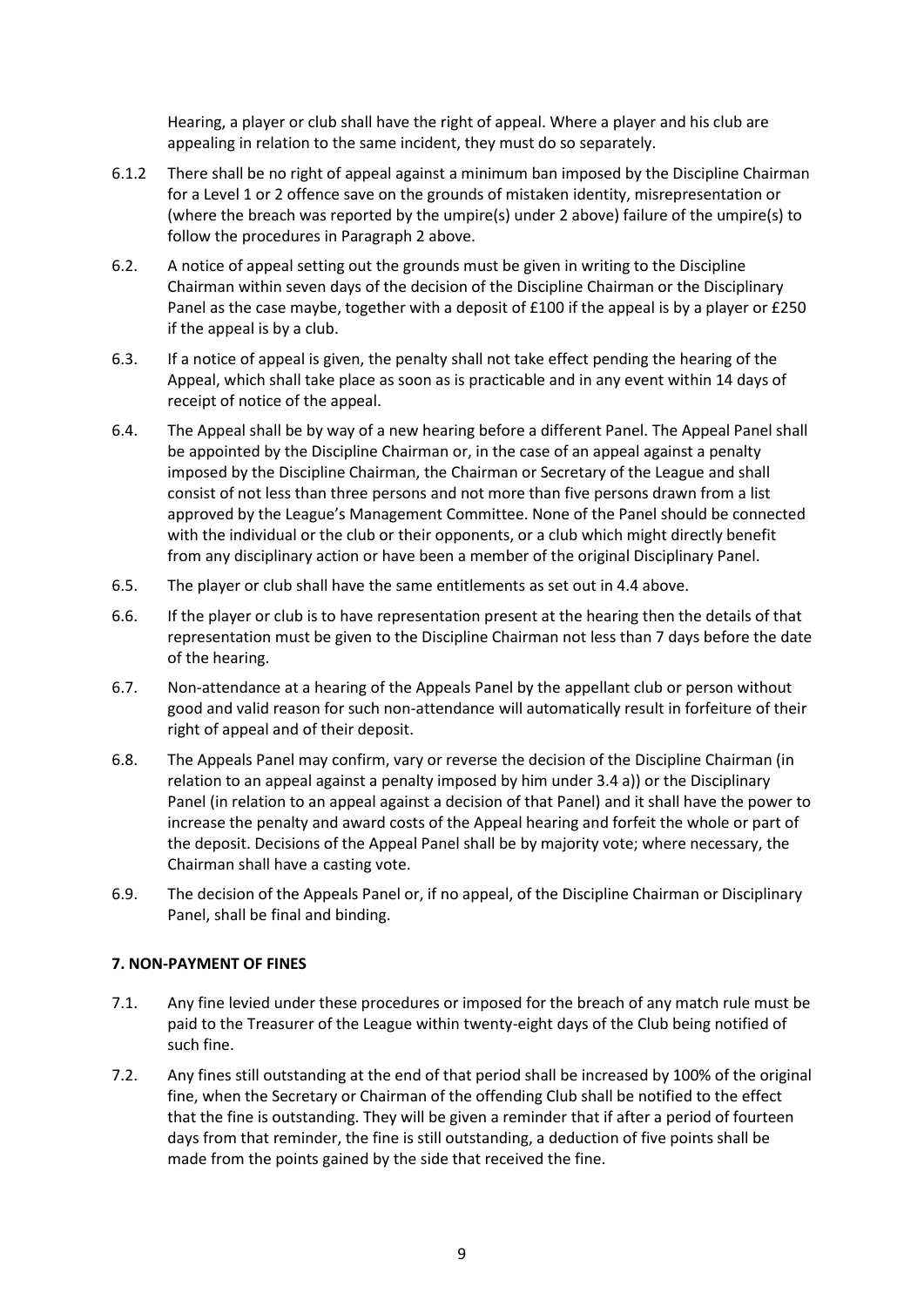Hearing, a player or club shall have the right of appeal. Where a player and his club are appealing in relation to the same incident, they must do so separately.

- 6.1.2 There shall be no right of appeal against a minimum ban imposed by the Discipline Chairman for a Level 1 or 2 offence save on the grounds of mistaken identity, misrepresentation or (where the breach was reported by the umpire(s) under 2 above) failure of the umpire(s) to follow the procedures in Paragraph 2 above.
- 6.2. A notice of appeal setting out the grounds must be given in writing to the Discipline Chairman within seven days of the decision of the Discipline Chairman or the Disciplinary Panel as the case maybe, together with a deposit of £100 if the appeal is by a player or £250 if the appeal is by a club.
- 6.3. If a notice of appeal is given, the penalty shall not take effect pending the hearing of the Appeal, which shall take place as soon as is practicable and in any event within 14 days of receipt of notice of the appeal.
- 6.4. The Appeal shall be by way of a new hearing before a different Panel. The Appeal Panel shall be appointed by the Discipline Chairman or, in the case of an appeal against a penalty imposed by the Discipline Chairman, the Chairman or Secretary of the League and shall consist of not less than three persons and not more than five persons drawn from a list approved by the League's Management Committee. None of the Panel should be connected with the individual or the club or their opponents, or a club which might directly benefit from any disciplinary action or have been a member of the original Disciplinary Panel.
- 6.5. The player or club shall have the same entitlements as set out in 4.4 above.
- 6.6. If the player or club is to have representation present at the hearing then the details of that representation must be given to the Discipline Chairman not less than 7 days before the date of the hearing.
- 6.7. Non-attendance at a hearing of the Appeals Panel by the appellant club or person without good and valid reason for such non-attendance will automatically result in forfeiture of their right of appeal and of their deposit.
- 6.8. The Appeals Panel may confirm, vary or reverse the decision of the Discipline Chairman (in relation to an appeal against a penalty imposed by him under 3.4 a)) or the Disciplinary Panel (in relation to an appeal against a decision of that Panel) and it shall have the power to increase the penalty and award costs of the Appeal hearing and forfeit the whole or part of the deposit. Decisions of the Appeal Panel shall be by majority vote; where necessary, the Chairman shall have a casting vote.
- 6.9. The decision of the Appeals Panel or, if no appeal, of the Discipline Chairman or Disciplinary Panel, shall be final and binding.

### **7. NON-PAYMENT OF FINES**

- 7.1. Any fine levied under these procedures or imposed for the breach of any match rule must be paid to the Treasurer of the League within twenty-eight days of the Club being notified of such fine.
- 7.2. Any fines still outstanding at the end of that period shall be increased by 100% of the original fine, when the Secretary or Chairman of the offending Club shall be notified to the effect that the fine is outstanding. They will be given a reminder that if after a period of fourteen days from that reminder, the fine is still outstanding, a deduction of five points shall be made from the points gained by the side that received the fine.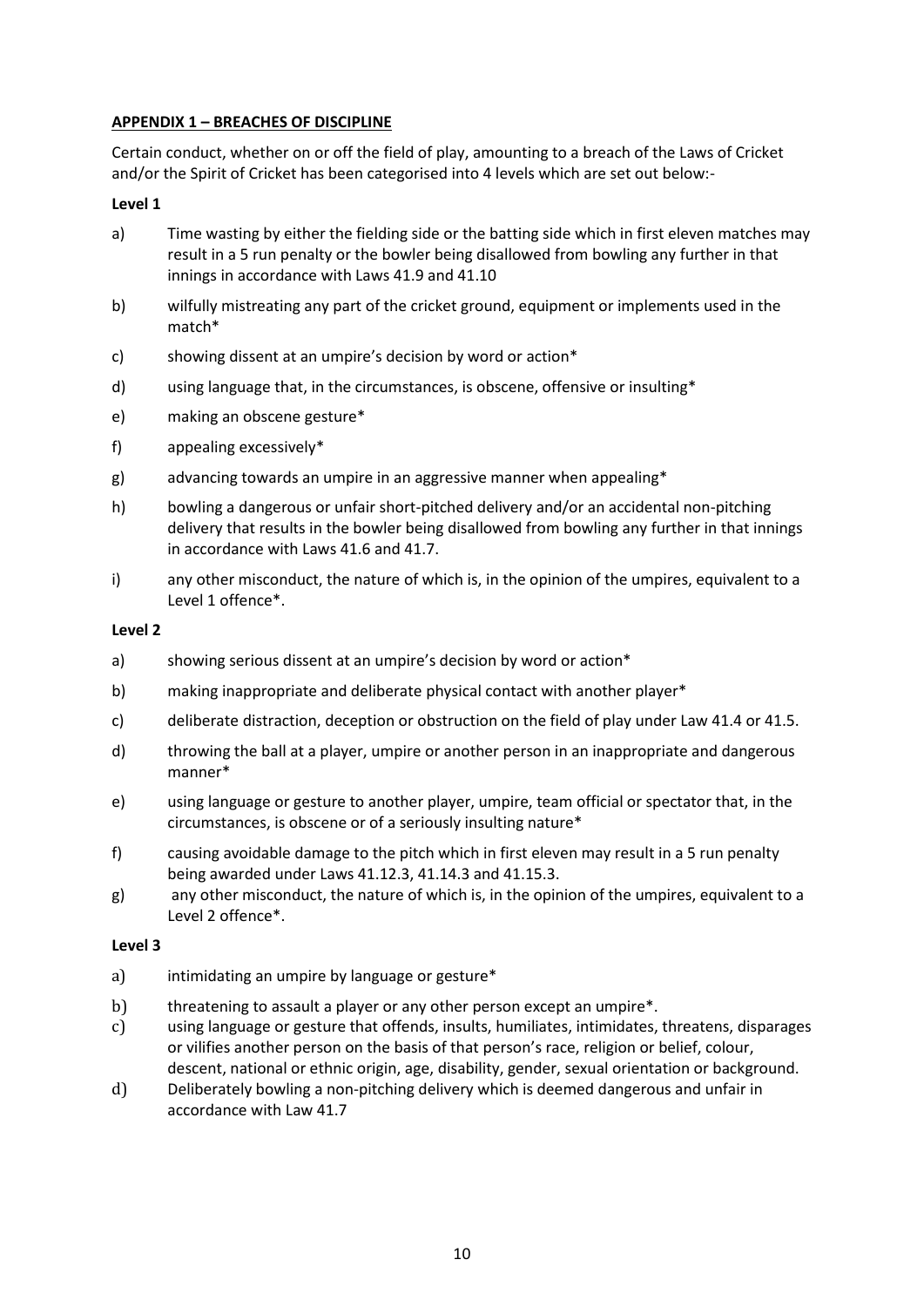# **APPENDIX 1 – BREACHES OF DISCIPLINE**

Certain conduct, whether on or off the field of play, amounting to a breach of the Laws of Cricket and/or the Spirit of Cricket has been categorised into 4 levels which are set out below:-

# **Level 1**

- a) Time wasting by either the fielding side or the batting side which in first eleven matches may result in a 5 run penalty or the bowler being disallowed from bowling any further in that innings in accordance with Laws 41.9 and 41.10
- b) wilfully mistreating any part of the cricket ground, equipment or implements used in the match\*
- c) showing dissent at an umpire's decision by word or action\*
- d) using language that, in the circumstances, is obscene, offensive or insulting\*
- e) making an obscene gesture\*
- f) appealing excessively\*
- g) advancing towards an umpire in an aggressive manner when appealing\*
- h) bowling a dangerous or unfair short-pitched delivery and/or an accidental non-pitching delivery that results in the bowler being disallowed from bowling any further in that innings in accordance with Laws 41.6 and 41.7.
- i) any other misconduct, the nature of which is, in the opinion of the umpires, equivalent to a Level 1 offence\*.

### **Level 2**

- a) showing serious dissent at an umpire's decision by word or action\*
- b) making inappropriate and deliberate physical contact with another player\*
- c) deliberate distraction, deception or obstruction on the field of play under Law 41.4 or 41.5.
- d) throwing the ball at a player, umpire or another person in an inappropriate and dangerous manner\*
- e) using language or gesture to another player, umpire, team official or spectator that, in the circumstances, is obscene or of a seriously insulting nature\*
- f) causing avoidable damage to the pitch which in first eleven may result in a 5 run penalty being awarded under Laws 41.12.3, 41.14.3 and 41.15.3.
- g) any other misconduct, the nature of which is, in the opinion of the umpires, equivalent to a Level 2 offence\*.

### **Level 3**

- a) intimidating an umpire by language or gesture\*
- b) threatening to assault a player or any other person except an umpire\*.
- c) using language or gesture that offends, insults, humiliates, intimidates, threatens, disparages or vilifies another person on the basis of that person's race, religion or belief, colour, descent, national or ethnic origin, age, disability, gender, sexual orientation or background.
- d) Deliberately bowling a non-pitching delivery which is deemed dangerous and unfair in accordance with Law 41.7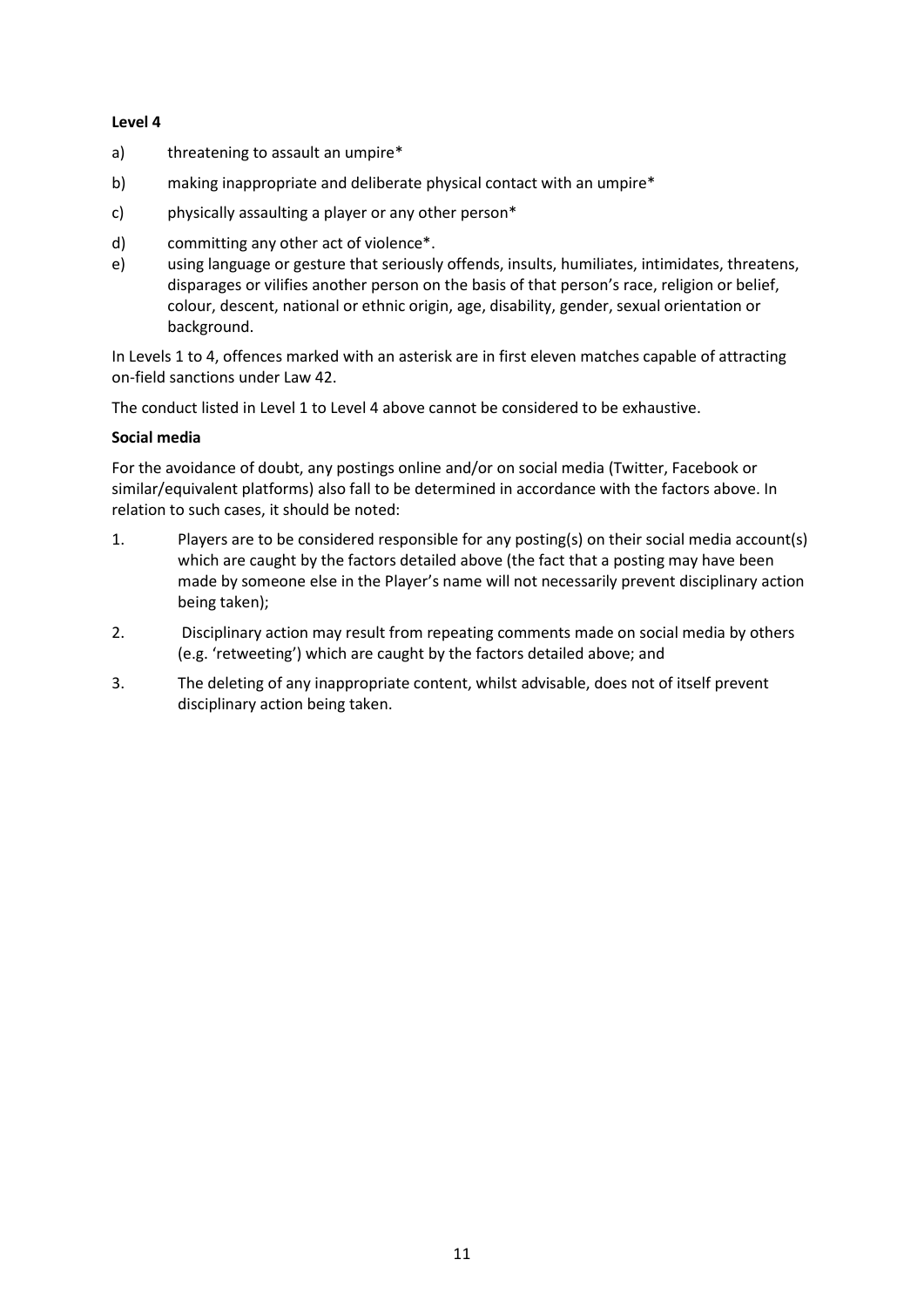# **Level 4**

- a) threatening to assault an umpire\*
- b) making inappropriate and deliberate physical contact with an umpire\*
- c) physically assaulting a player or any other person\*
- d) committing any other act of violence\*.
- e) using language or gesture that seriously offends, insults, humiliates, intimidates, threatens, disparages or vilifies another person on the basis of that person's race, religion or belief, colour, descent, national or ethnic origin, age, disability, gender, sexual orientation or background.

In Levels 1 to 4, offences marked with an asterisk are in first eleven matches capable of attracting on-field sanctions under Law 42.

The conduct listed in Level 1 to Level 4 above cannot be considered to be exhaustive.

# **Social media**

For the avoidance of doubt, any postings online and/or on social media (Twitter, Facebook or similar/equivalent platforms) also fall to be determined in accordance with the factors above. In relation to such cases, it should be noted:

- 1. Players are to be considered responsible for any posting(s) on their social media account(s) which are caught by the factors detailed above (the fact that a posting may have been made by someone else in the Player's name will not necessarily prevent disciplinary action being taken);
- 2. Disciplinary action may result from repeating comments made on social media by others (e.g. 'retweeting') which are caught by the factors detailed above; and
- 3. The deleting of any inappropriate content, whilst advisable, does not of itself prevent disciplinary action being taken.